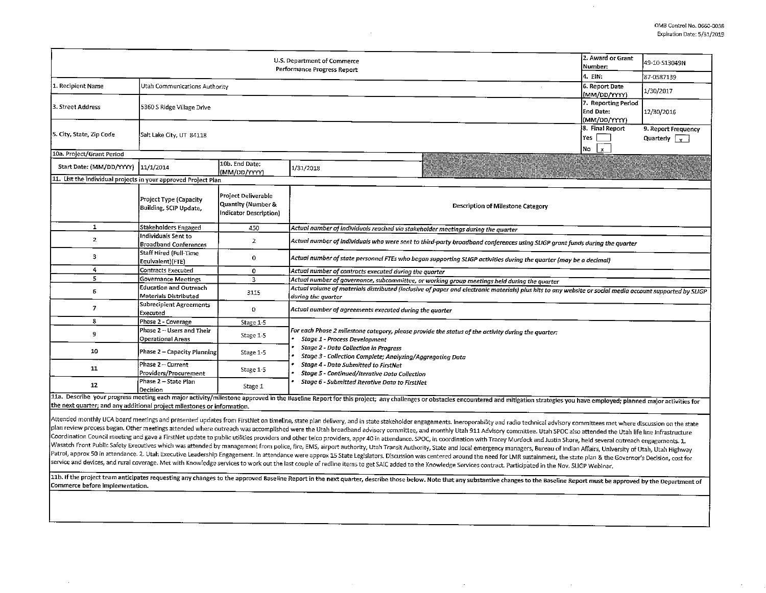|                                                                         | 2. Award or Grant<br>Number:                                                                  | 49-10-S13049N                                                       |                                                                                                                                                                                                                                                                                                                                           |  |  |  |  |  |
|-------------------------------------------------------------------------|-----------------------------------------------------------------------------------------------|---------------------------------------------------------------------|-------------------------------------------------------------------------------------------------------------------------------------------------------------------------------------------------------------------------------------------------------------------------------------------------------------------------------------------|--|--|--|--|--|
|                                                                         | 4. EIN:                                                                                       | 87-0587139                                                          |                                                                                                                                                                                                                                                                                                                                           |  |  |  |  |  |
| 1. Recipient Name                                                       | Utah Communications Authority                                                                 | 6. Report Date<br>(MM/DD/YYYY)                                      | 1/30/2017                                                                                                                                                                                                                                                                                                                                 |  |  |  |  |  |
| 3. Street Address                                                       | 5360 S Ridge Village Drive                                                                    | 7. Reporting Period<br>End Date:<br>(MM/DD/YYYY)                    | 12/30/2016                                                                                                                                                                                                                                                                                                                                |  |  |  |  |  |
| 5. City, State, Zip Code                                                | Salt Lake City, UT 84118                                                                      | 8. Final Report<br>Yes<br>No $\vert x \vert$                        | 9. Report Frequency<br>Quarterly $\sqrt{v}$                                                                                                                                                                                                                                                                                               |  |  |  |  |  |
| 10a. Project/Grant Period                                               |                                                                                               |                                                                     |                                                                                                                                                                                                                                                                                                                                           |  |  |  |  |  |
| Start Date: (MM/DD/YYYY)  11/1/2014                                     |                                                                                               | 10b. End Date:<br>(MM/DD/YYYY)                                      | 1/31/2018                                                                                                                                                                                                                                                                                                                                 |  |  |  |  |  |
| 11. List the individual projects in your approved Project Plan          |                                                                                               |                                                                     |                                                                                                                                                                                                                                                                                                                                           |  |  |  |  |  |
|                                                                         | Project Type (Capacity<br>Building, SCIP Update,                                              | Project Deliverable<br>Quantity (Number &<br>Indicator Description) | Description of Milestone Category                                                                                                                                                                                                                                                                                                         |  |  |  |  |  |
| 1                                                                       | Stakeholders Engaged                                                                          | 450                                                                 | Actual number of individuals reached via stakeholder meetings during the quarter                                                                                                                                                                                                                                                          |  |  |  |  |  |
| $\mathbf{z}$                                                            | Individuals Sent to<br><b>Broadband Conferences</b>                                           | $\overline{2}$                                                      | Actual number of individuals who were sent to third-party broadband conferences using SLIGP grant funds during the quarter                                                                                                                                                                                                                |  |  |  |  |  |
| 3                                                                       | Staff Hired (Full-Time<br>Equivalent)(FTE)                                                    | $\mathbf 0$                                                         | Actual number of state personnel FTEs who began supporting SLIGP activities during the quarter (may be a decimal)                                                                                                                                                                                                                         |  |  |  |  |  |
| 4                                                                       | Contracts Executed                                                                            | 0                                                                   | Actual number of contracts executed during the quarter                                                                                                                                                                                                                                                                                    |  |  |  |  |  |
| 5.                                                                      | Governance Meetings                                                                           | $\overline{3}$                                                      | Actual number of governance, subcommittee, or working group meetings held during the quarter                                                                                                                                                                                                                                              |  |  |  |  |  |
| б                                                                       | Education and Outreach<br>Materials Distributed                                               | 3115                                                                | Actual volume of materials distributed (inclusive of paper and electronic materials) plus hits to any website or social media account supported by SLIGP<br>during the quarter                                                                                                                                                            |  |  |  |  |  |
| $\overline{I}$                                                          | Subrecipient Agreements<br>Executed                                                           | 0                                                                   | Actual number of agreements executed during the quarter                                                                                                                                                                                                                                                                                   |  |  |  |  |  |
| 8                                                                       | Phase 2 - Coverage                                                                            | Stage 1-5                                                           |                                                                                                                                                                                                                                                                                                                                           |  |  |  |  |  |
| 9                                                                       | Phase 2 - Users and Their<br>Operational Areas                                                | Stage 1-5                                                           | For each Phase 2 milestone category, please provide the status of the activity during the quarter:<br>Stage 1 - Process Development<br><b>Stage 2 - Data Collection in Progress</b><br>Stage 3 - Collection Complete; Analyzing/Aggregating Data<br>Stage 4 - Data Submitted to FirstNet<br>Stage 5 - Continued/Iterative Data Collection |  |  |  |  |  |
| 10                                                                      | Phase 2 - Capacity Planning                                                                   | Stage 1-5                                                           |                                                                                                                                                                                                                                                                                                                                           |  |  |  |  |  |
| 11                                                                      | Phase 2 - Current<br>Providers/Procurement                                                    | Stage 1-5                                                           |                                                                                                                                                                                                                                                                                                                                           |  |  |  |  |  |
| 12                                                                      | Phase 2 - State Plan<br>Stage 6 - Submitted Iterative Data to FirstNet<br>Stage 1<br>Decision |                                                                     |                                                                                                                                                                                                                                                                                                                                           |  |  |  |  |  |
| the next quarter; and any additional project milestones or information. |                                                                                               |                                                                     | 11a. Describe your progress meeting each major activity/milestone approved in the Baseline Report for this project; any challenges or obstacles encountered and mitigation strategies you have employed; planned major activit                                                                                                            |  |  |  |  |  |

Attended monthly UCA board meetings and presented updates from FirstNet on timeline, state plan delivery, and in state stakeholder engagements. Ineroperability and radio technical advisory committees met where discussion o plan review process began. Other meetings attended where outreach was accomplished were the Utah broadband advisory committee, and monthly Utah 911Advisory committee. Utah SPOC also attended the Utah life line Infrastructure Coordination Council meeting and gave a FirstNet update to public utilities providers and other telco providers, appr 40 in attendance. SPOC, in coordination with Tracey Murdock and Justin Shore, held several outreach enga Wasatch Front Public Safety Executives which was attended by management from police, fire, EMS, airport authority, Utah Transit Authority, State and local emergency managers, Bureau of Indian Affairs, University of Utah, U Patrol, approx 50 in attendance. 2. Utah Executive Leadership Engagement. In attendance were approx 15 State Legislators. Discussion was centered around the need for LMR sustainment, the state plan & the Governor's Decisio service and devices, and rural coverage. Met with Knowledge services to work out the last couple of redline items to get SAIC added to the Knowledge Services contract. Participated in the Nov. SLIGP Webinar.

11b. If the project team anticipates requesting any changes to the approved Baseline Report in the next quarter, describe those below. Note that any substantive changes to the Baseline Report must be approved by the Depart Commerce before implementation.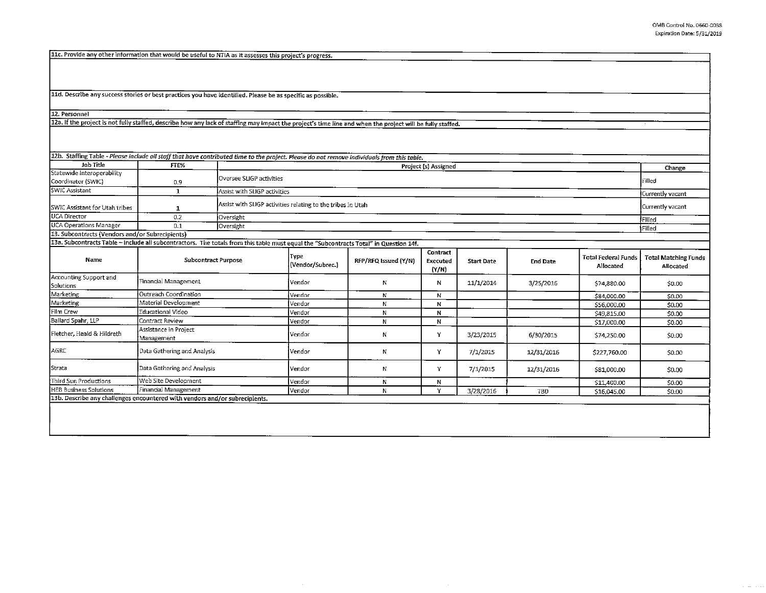**Contractor** 

11c. Provide any other information that would be useful to NTIA as it assesses this project's progress.

11d. Describe any success stories or best practices you have identified. Please be as specific as possible.

12. Personnel

123. If the project is not fully staffed, describe how any lack of staffing may impact the project's time line and when the project will be fully staffed.

| Job Title                                                                                                                             | FTE%                                |                      | 12h. Staffing Table - Please include all staff that have contributed time to the project. Please do not remove individuals from this table.<br>Project (s) Assigned |                      |                               |                   |                 |                                         |                                          |  |
|---------------------------------------------------------------------------------------------------------------------------------------|-------------------------------------|----------------------|---------------------------------------------------------------------------------------------------------------------------------------------------------------------|----------------------|-------------------------------|-------------------|-----------------|-----------------------------------------|------------------------------------------|--|
| Statewide Interoperability                                                                                                            |                                     |                      |                                                                                                                                                                     |                      |                               |                   |                 |                                         | Change                                   |  |
| Coordinator (SWIC)                                                                                                                    | 0.9                                 |                      | Oversee SLIGP activities                                                                                                                                            |                      |                               |                   |                 |                                         |                                          |  |
| SWIC Assistant                                                                                                                        | $\mathbf{1}$                        |                      | Assist with SLIGP activities                                                                                                                                        |                      |                               |                   |                 |                                         |                                          |  |
| SWIC Assistant for Utah tribes                                                                                                        | 1                                   |                      | Assist with SLIGP activities relating to the tribes in Utah                                                                                                         |                      |                               |                   |                 |                                         |                                          |  |
| UCA Director                                                                                                                          | 0.2                                 | Oversight            | Filled                                                                                                                                                              |                      |                               |                   |                 |                                         |                                          |  |
| <b>UCA Operations Manager</b>                                                                                                         | 0.1                                 | Oversight            |                                                                                                                                                                     |                      |                               |                   |                 |                                         |                                          |  |
| 13. Subcontracts (Vendors and/or Subrecipients)                                                                                       |                                     |                      |                                                                                                                                                                     |                      |                               |                   |                 |                                         | ∮Filled.                                 |  |
| 13a. Subcontracts Table - Include all subcontractors. The totals from this table must equal the "Subcontracts Total" in Question 14f. |                                     |                      |                                                                                                                                                                     |                      |                               |                   |                 |                                         |                                          |  |
| Name                                                                                                                                  | <b>Subcontract Purpose</b>          |                      | Type<br>(Vendor/Subrec.)                                                                                                                                            | RFP/RFQ Issued (Y/N) | Contract<br>Executed<br>(Y/N) | <b>Start Date</b> | <b>End Date</b> | <b>Total Federal Funds</b><br>Allocated | <b>Total Matching Funds</b><br>Allocated |  |
| Accounting Support and<br>Solutions                                                                                                   | Financial Management                |                      | Vendor                                                                                                                                                              | N                    | N                             | 11/1/2014         | 3/25/2016       | \$74,880.00                             | \$0.00                                   |  |
| Marketing                                                                                                                             | Outreach Coordination               |                      |                                                                                                                                                                     | N                    | N                             |                   |                 | \$84,000.00                             | \$0.00                                   |  |
| Marketing                                                                                                                             |                                     | Material Development |                                                                                                                                                                     | N                    | N                             |                   |                 | \$56,000.00                             | 50.00                                    |  |
| Film Crew                                                                                                                             | Educational Video                   |                      | Vendor                                                                                                                                                              | N                    | $\mathbf N$                   |                   |                 | \$49,815.00                             | \$0.00                                   |  |
| Ballard Spahr, LLP                                                                                                                    | Contract Review                     |                      |                                                                                                                                                                     | N                    | N                             |                   |                 | \$17,000.00                             | 50.00                                    |  |
| Fletcher, Heald & Hildreth                                                                                                            | Assistance in Project<br>Management |                      | Vendor                                                                                                                                                              | N                    | Y                             | 3/23/2015         | 6/30/2015       | \$74,250.00                             | \$0.00                                   |  |
| AGRC                                                                                                                                  | Data Gathering and Analysis         |                      | Vendor                                                                                                                                                              | N                    | Y                             | 7/1/2015          | 12/31/2016      | \$227,760.00                            | \$0.00                                   |  |
| Strata                                                                                                                                | Data Gathering and Analysis         |                      | Vendor                                                                                                                                                              | N                    | Y                             | 7/1/2015          | 12/31/2016      | \$81,000.00                             | \$0.00                                   |  |
| Third Sun Productions                                                                                                                 | Web Site Development                |                      | <b>Vendor</b>                                                                                                                                                       | $\mathbb{N}$         | N                             |                   |                 | \$11,400.00                             | 50.00                                    |  |
| Financial Management<br><b>HEB Business Solutions</b>                                                                                 |                                     | Vendor               | N                                                                                                                                                                   | v                    | 3/28/2016                     | TBD               | \$16,045.00     | 50.00                                   |                                          |  |
| 13b. Describe any challenges encountered with vendors and/or subrecipients.                                                           |                                     |                      |                                                                                                                                                                     |                      |                               |                   |                 |                                         |                                          |  |